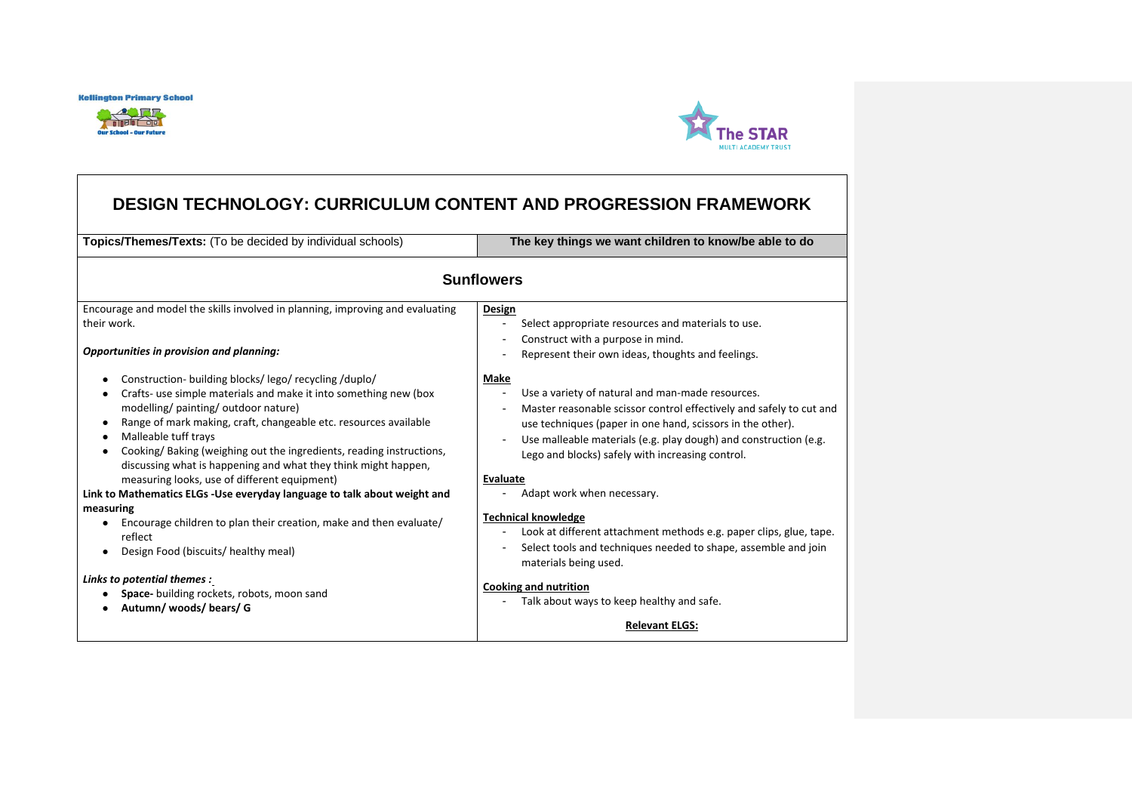



# **DESIGN TECHNOLOGY: CURRICULUM CONTENT AND PROGRESSION FRAMEWORK**

**Topics/Themes/Texts:** (To be decided by individual schools) **The key things we want children to know/be able to do**

| <b>Sunflowers</b>                                                                                                                                                                                                                                                                                                                                                                                                                                                                                                                                                                                                                                                                                                                                                                                                     |                                                                                                                                                                                                                                                                                                                                                                                                                                                                                                                                                                                                                                                                      |  |
|-----------------------------------------------------------------------------------------------------------------------------------------------------------------------------------------------------------------------------------------------------------------------------------------------------------------------------------------------------------------------------------------------------------------------------------------------------------------------------------------------------------------------------------------------------------------------------------------------------------------------------------------------------------------------------------------------------------------------------------------------------------------------------------------------------------------------|----------------------------------------------------------------------------------------------------------------------------------------------------------------------------------------------------------------------------------------------------------------------------------------------------------------------------------------------------------------------------------------------------------------------------------------------------------------------------------------------------------------------------------------------------------------------------------------------------------------------------------------------------------------------|--|
| Encourage and model the skills involved in planning, improving and evaluating<br>their work.<br>Opportunities in provision and planning:                                                                                                                                                                                                                                                                                                                                                                                                                                                                                                                                                                                                                                                                              | Design<br>Select appropriate resources and materials to use.<br>Construct with a purpose in mind.<br>Represent their own ideas, thoughts and feelings.                                                                                                                                                                                                                                                                                                                                                                                                                                                                                                               |  |
| Construction- building blocks/lego/recycling/duplo/<br>Crafts- use simple materials and make it into something new (box<br>modelling/painting/outdoor nature)<br>Range of mark making, craft, changeable etc. resources available<br>$\bullet$<br>Malleable tuff trays<br>٠<br>Cooking/Baking (weighing out the ingredients, reading instructions,<br>$\bullet$<br>discussing what is happening and what they think might happen,<br>measuring looks, use of different equipment)<br>Link to Mathematics ELGs -Use everyday language to talk about weight and<br>measuring<br>Encourage children to plan their creation, make and then evaluate/<br>reflect<br>Design Food (biscuits/ healthy meal)<br>$\bullet$<br>Links to potential themes :<br>Space- building rockets, robots, moon sand<br>Autumn/woods/bears/G | Make<br>Use a variety of natural and man-made resources.<br>Master reasonable scissor control effectively and safely to cut and<br>use techniques (paper in one hand, scissors in the other).<br>Use malleable materials (e.g. play dough) and construction (e.g.<br>Lego and blocks) safely with increasing control.<br>Evaluate<br>Adapt work when necessary.<br><b>Technical knowledge</b><br>Look at different attachment methods e.g. paper clips, glue, tape.<br>Select tools and techniques needed to shape, assemble and join<br>materials being used.<br><b>Cooking and nutrition</b><br>Talk about ways to keep healthy and safe.<br><b>Relevant ELGS:</b> |  |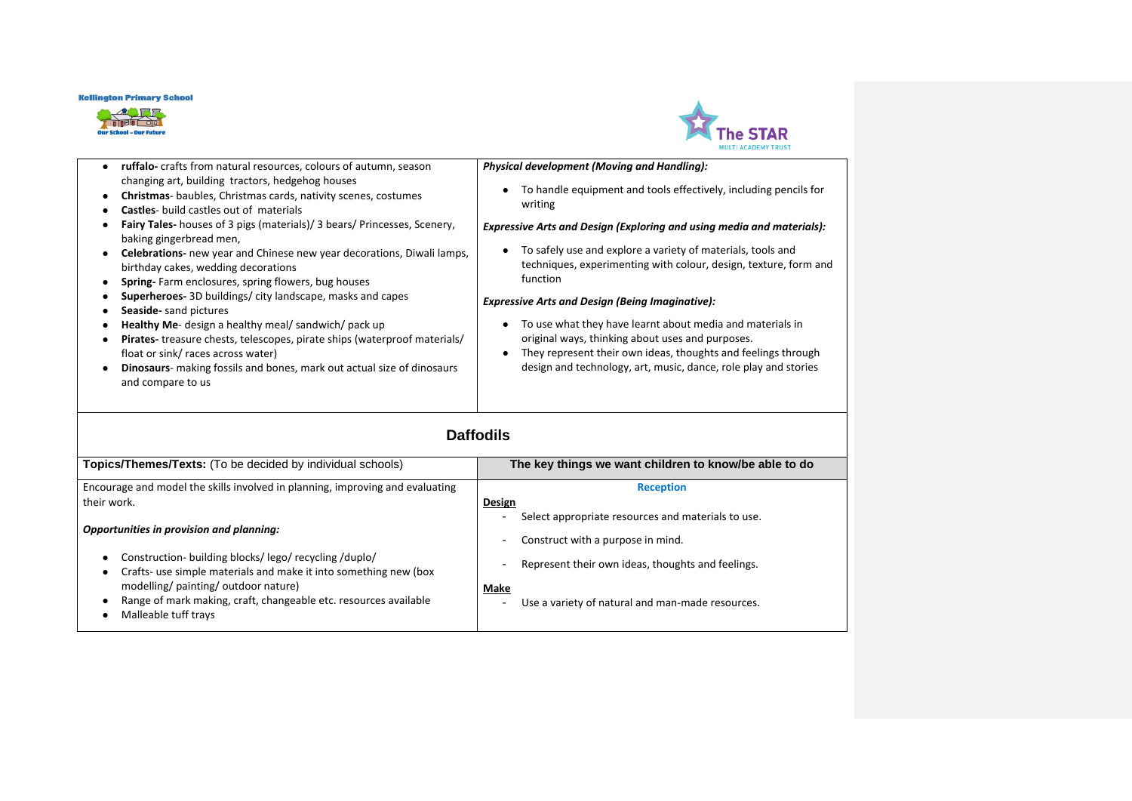



|                                                                                                                                                                                                                                                                                                                                                                                                                                                                                                                                                                                                                                                                                                                                                                                                                                                                                                                                                              | MULTI ACADEMY TRUST                                                                                                                                                                                                                                                                                                                                                                                                                                                                                                                                                                                                                                                                                             |
|--------------------------------------------------------------------------------------------------------------------------------------------------------------------------------------------------------------------------------------------------------------------------------------------------------------------------------------------------------------------------------------------------------------------------------------------------------------------------------------------------------------------------------------------------------------------------------------------------------------------------------------------------------------------------------------------------------------------------------------------------------------------------------------------------------------------------------------------------------------------------------------------------------------------------------------------------------------|-----------------------------------------------------------------------------------------------------------------------------------------------------------------------------------------------------------------------------------------------------------------------------------------------------------------------------------------------------------------------------------------------------------------------------------------------------------------------------------------------------------------------------------------------------------------------------------------------------------------------------------------------------------------------------------------------------------------|
| ruffalo- crafts from natural resources, colours of autumn, season<br>$\bullet$<br>changing art, building tractors, hedgehog houses<br>Christmas- baubles, Christmas cards, nativity scenes, costumes<br>٠<br>Castles- build castles out of materials<br>٠<br><b>Fairy Tales-</b> houses of 3 pigs (materials)/ 3 bears/ Princesses, Scenery,<br>٠<br>baking gingerbread men,<br>Celebrations- new year and Chinese new year decorations, Diwali lamps,<br>$\bullet$<br>birthday cakes, wedding decorations<br>Spring-Farm enclosures, spring flowers, bug houses<br>٠<br>Superheroes- 3D buildings/city landscape, masks and capes<br>Seaside- sand pictures<br>Healthy Me- design a healthy meal/ sandwich/ pack up<br>٠<br>Pirates-treasure chests, telescopes, pirate ships (waterproof materials/<br>٠<br>float or sink/ races across water)<br>Dinosaurs- making fossils and bones, mark out actual size of dinosaurs<br>$\bullet$<br>and compare to us | Physical development (Moving and Handling):<br>To handle equipment and tools effectively, including pencils for<br>$\bullet$<br>writing<br><b>Expressive Arts and Design (Exploring and using media and materials):</b><br>To safely use and explore a variety of materials, tools and<br>techniques, experimenting with colour, design, texture, form and<br>function<br><b>Expressive Arts and Design (Being Imaginative):</b><br>To use what they have learnt about media and materials in<br>$\bullet$<br>original ways, thinking about uses and purposes.<br>They represent their own ideas, thoughts and feelings through<br>$\bullet$<br>design and technology, art, music, dance, role play and stories |
|                                                                                                                                                                                                                                                                                                                                                                                                                                                                                                                                                                                                                                                                                                                                                                                                                                                                                                                                                              | <b>Daffodils</b>                                                                                                                                                                                                                                                                                                                                                                                                                                                                                                                                                                                                                                                                                                |
| Topics/Themes/Texts: (To be decided by individual schools)                                                                                                                                                                                                                                                                                                                                                                                                                                                                                                                                                                                                                                                                                                                                                                                                                                                                                                   | The key things we want children to know/be able to do                                                                                                                                                                                                                                                                                                                                                                                                                                                                                                                                                                                                                                                           |
| Encourage and model the skills involved in planning, improving and evaluating<br>their work.                                                                                                                                                                                                                                                                                                                                                                                                                                                                                                                                                                                                                                                                                                                                                                                                                                                                 | <b>Reception</b><br>Design<br>Select appropriate resources and materials to use.                                                                                                                                                                                                                                                                                                                                                                                                                                                                                                                                                                                                                                |
| Opportunities in provision and planning:<br>Construction-building blocks/lego/recycling/duplo/<br>$\bullet$<br>Crafts- use simple materials and make it into something new (box<br>modelling/ painting/ outdoor nature)                                                                                                                                                                                                                                                                                                                                                                                                                                                                                                                                                                                                                                                                                                                                      | Construct with a purpose in mind.<br>$\blacksquare$<br>Represent their own ideas, thoughts and feelings.<br>Make                                                                                                                                                                                                                                                                                                                                                                                                                                                                                                                                                                                                |

- Range of mark making, craft, changeable etc. resources available
- Malleable tuff trays
- Use a variety of natural and man-made resources.
-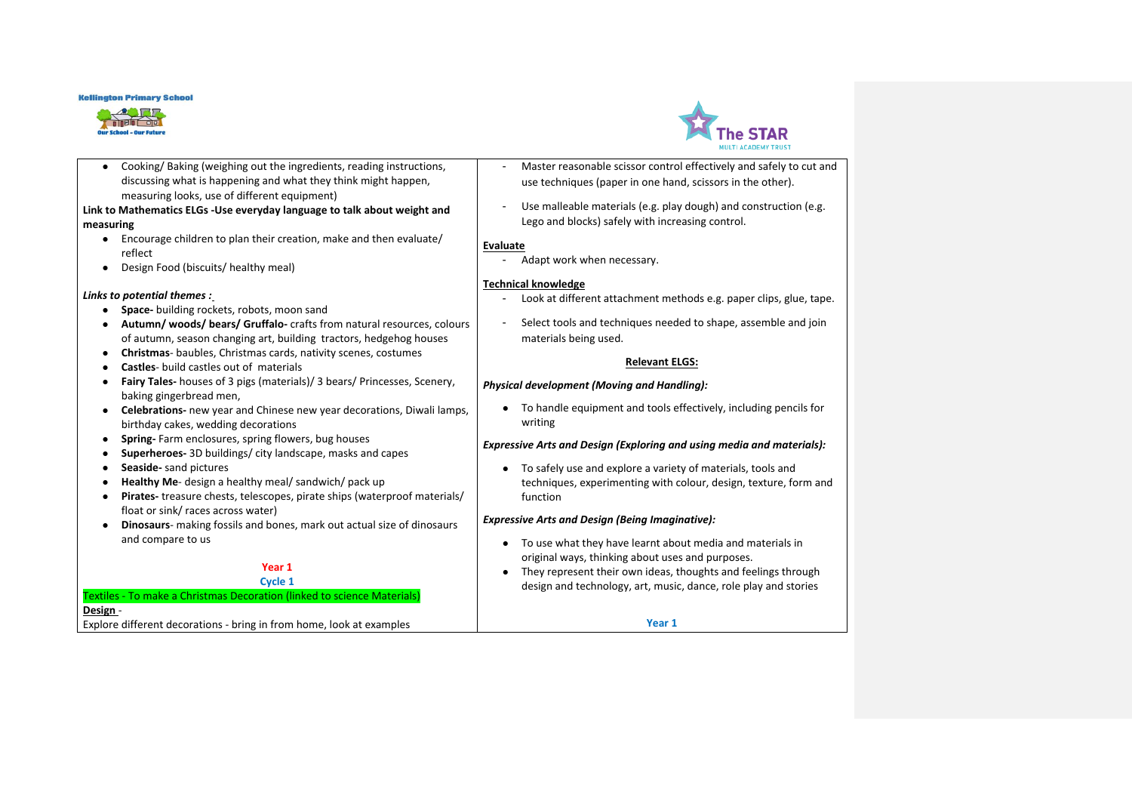



● Cooking/ Baking (weighing out the ingredients, reading instructions, discussing what is happening and what they think might happen, measuring looks, use of different equipment)

### **Link to Mathematics ELGs -Use everyday language to talk about weight and measuring**

- Encourage children to plan their creation, make and then evaluate/ reflect
- Design Food (biscuits/ healthy meal)

### *Links to potential themes :*

- **Space-** building rockets, robots, moon sand
- **Autumn/ woods/ bears/ Gruffalo-** crafts from natural resources, colours of autumn, season changing art, building tractors, hedgehog houses
- **Christmas** baubles, Christmas cards, nativity scenes, costumes
- **Castles** build castles out of materials
- **Fairy Tales-** houses of 3 pigs (materials)/ 3 bears/ Princesses, Scenery, baking gingerbread men,
- **Celebrations-** new year and Chinese new year decorations, Diwali lamps, birthday cakes, wedding decorations
- **Spring-** Farm enclosures, spring flowers, bug houses
- **Superheroes-** 3D buildings/ city landscape, masks and capes
- **Seaside-** sand pictures
- **Healthy Me-** design a healthy meal/ sandwich/ pack up
- **Pirates-** treasure chests, telescopes, pirate ships (waterproof materials/ float or sink/ races across water)
- **Dinosaurs** making fossils and bones, mark out actual size of dinosaurs and compare to us

#### **Year 1 Cycle 1**

## Textiles - To make a Christmas Decoration (linked to science Materials) **Design** - Explore different decorations - bring in from home, look at examples

- Master reasonable scissor control effectively and safely to cut and use techniques (paper in one hand, scissors in the other).
- Use malleable materials (e.g. play dough) and construction (e.g. Lego and blocks) safely with increasing control.

### **Evaluate**

- Adapt work when necessary.

### **Technical knowledge**

- Look at different attachment methods e.g. paper clips, glue, tape.
- Select tools and techniques needed to shape, assemble and join materials being used.

### **Relevant ELGS:**

### *Physical development (Moving and Handling):*

● To handle equipment and tools effectively, including pencils for writing

### *Expressive Arts and Design (Exploring and using media and materials):*

● To safely use and explore a variety of materials, tools and techniques, experimenting with colour, design, texture, form and function

### *Expressive Arts and Design (Being Imaginative):*

- To use what they have learnt about media and materials in original ways, thinking about uses and purposes.
- They represent their own ideas, thoughts and feelings through design and technology, art, music, dance, role play and stories

**Year 1**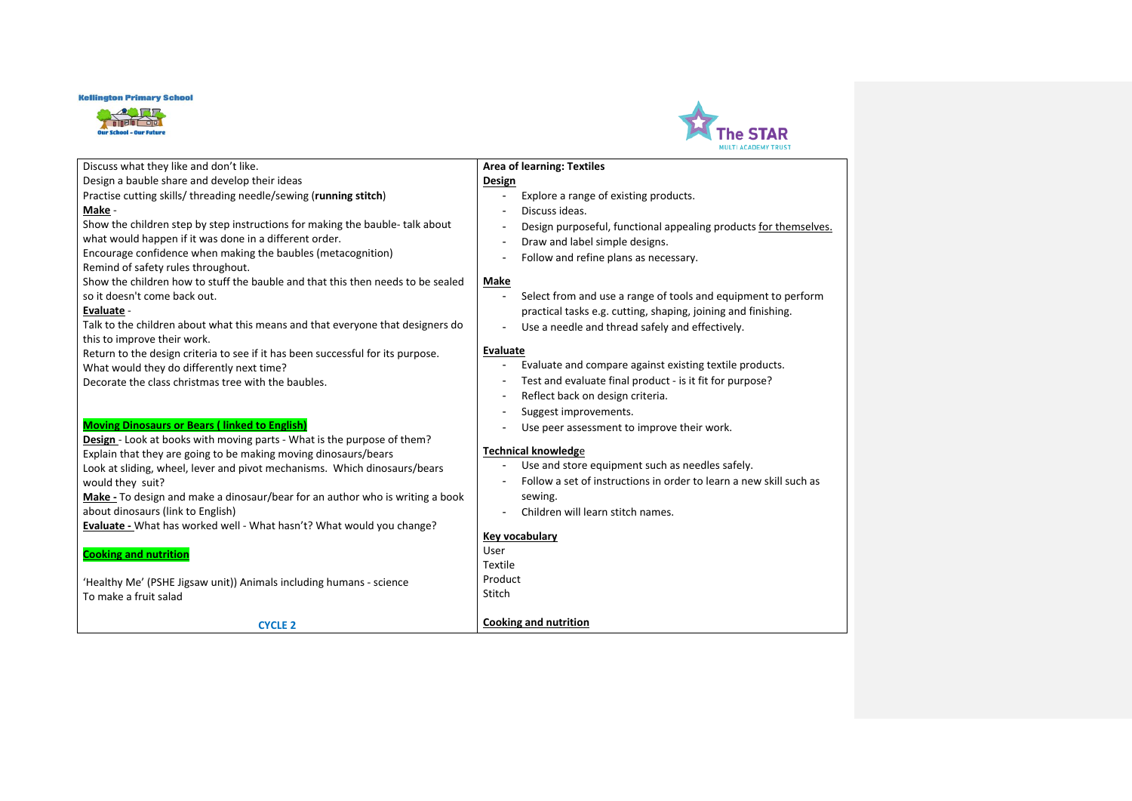



#### Discuss what they like and don't like. Design a bauble share and develop their ideas Practise cutting skills/ threading needle/sewing (**running stitch**) **Make** - Show the children step by step instructions for making the bauble- talk about what would happen if it was done in a different order. Encourage confidence when making the baubles (metacognition) Remind of safety rules throughout. Show the children how to stuff the bauble and that this then needs to be sealed so it doesn't come back out. **Evaluate** - Talk to the children about what this means and that everyone that designers do this to improve their work. Return to the design criteria to see if it has been successful for its purpose. What would they do differently next time? Decorate the class christmas tree with the baubles. **Moving Dinosaurs or Bears ( linked to English) Design** - Look at books with moving parts - What is the purpose of them? Explain that they are going to be making moving dinosaurs/bears Look at sliding, wheel, lever and pivot mechanisms. Which dinosaurs/bears would they suit? **Make -** To design and make a dinosaur/bear for an author who is writing a book about dinosaurs (link to English) **Evaluate -** What has worked well - What hasn't? What would you change? **Cooking and nutrition** 'Healthy Me' (PSHE Jigsaw unit)) Animals including humans - science To make a fruit salad **CYCLE 2 Area of learning: Textiles Design** - Explore a range of existing products. - Discuss ideas. - Design purposeful, functional appealing products for themselves. - Draw and label simple designs. - Follow and refine plans as necessary. **Make** - Select from and use a range of tools and equipment to perform practical tasks e.g. cutting, shaping, joining and finishing. - Use a needle and thread safely and effectively. **Evaluate** - Evaluate and compare against existing textile products. - Test and evaluate final product - is it fit for purpose? - Reflect back on design criteria. - Suggest improvements. - Use peer assessment to improve their work. **Technical knowledg**e - Use and store equipment such as needles safely. - Follow a set of instructions in order to learn a new skill such as sewing. - Children will learn stitch names. **Key vocabulary** User Textile Product **Stitch Cooking and nutrition**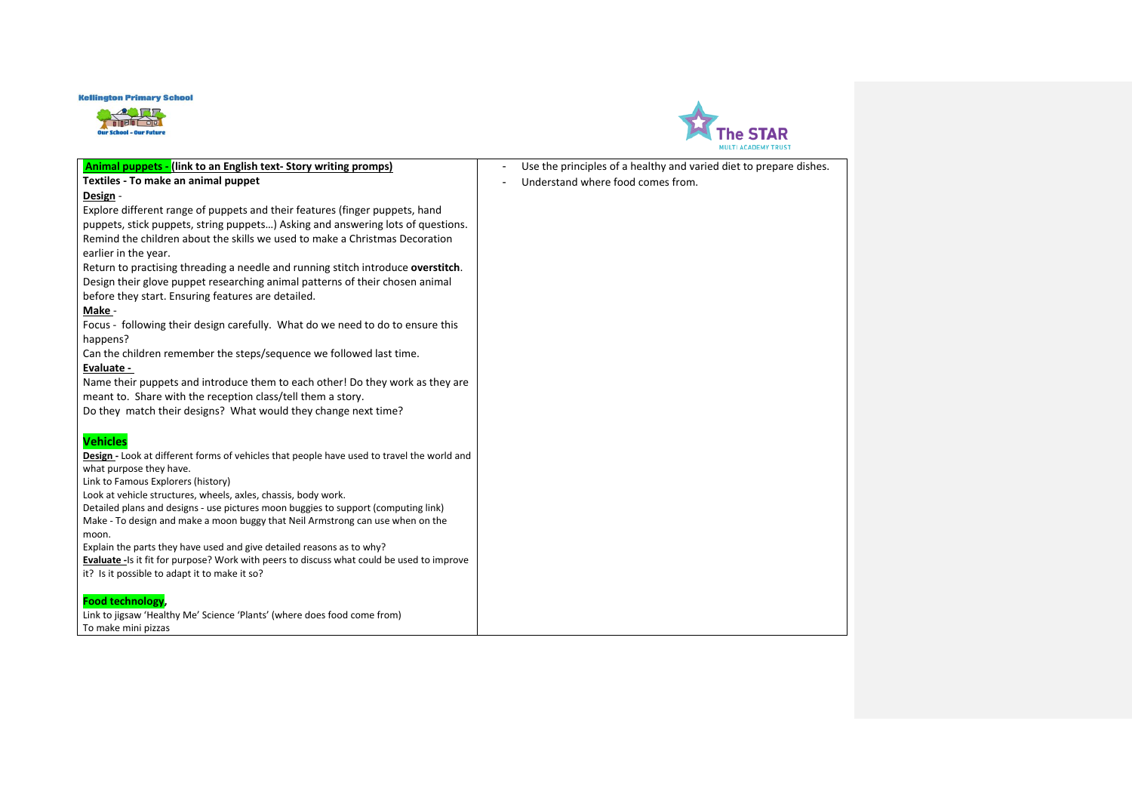



| <b>Animal puppets - (link to an English text- Story writing promps)</b>                                                                                             | Use the principles of a healthy and varied diet to prepare dishes. |
|---------------------------------------------------------------------------------------------------------------------------------------------------------------------|--------------------------------------------------------------------|
| Textiles - To make an animal puppet                                                                                                                                 | Understand where food comes from.                                  |
| Design -                                                                                                                                                            |                                                                    |
| Explore different range of puppets and their features (finger puppets, hand                                                                                         |                                                                    |
| puppets, stick puppets, string puppets) Asking and answering lots of questions.                                                                                     |                                                                    |
| Remind the children about the skills we used to make a Christmas Decoration                                                                                         |                                                                    |
| earlier in the year.                                                                                                                                                |                                                                    |
| Return to practising threading a needle and running stitch introduce overstitch.                                                                                    |                                                                    |
| Design their glove puppet researching animal patterns of their chosen animal                                                                                        |                                                                    |
| before they start. Ensuring features are detailed.                                                                                                                  |                                                                    |
| Make -                                                                                                                                                              |                                                                    |
| Focus - following their design carefully. What do we need to do to ensure this                                                                                      |                                                                    |
| happens?                                                                                                                                                            |                                                                    |
| Can the children remember the steps/sequence we followed last time.                                                                                                 |                                                                    |
| Evaluate -                                                                                                                                                          |                                                                    |
| Name their puppets and introduce them to each other! Do they work as they are                                                                                       |                                                                    |
| meant to. Share with the reception class/tell them a story.                                                                                                         |                                                                    |
| Do they match their designs? What would they change next time?                                                                                                      |                                                                    |
|                                                                                                                                                                     |                                                                    |
| <b>Vehicles</b>                                                                                                                                                     |                                                                    |
| Design - Look at different forms of vehicles that people have used to travel the world and                                                                          |                                                                    |
| what purpose they have.                                                                                                                                             |                                                                    |
| Link to Famous Explorers (history)                                                                                                                                  |                                                                    |
| Look at vehicle structures, wheels, axles, chassis, body work.                                                                                                      |                                                                    |
| Detailed plans and designs - use pictures moon buggies to support (computing link)                                                                                  |                                                                    |
| Make - To design and make a moon buggy that Neil Armstrong can use when on the                                                                                      |                                                                    |
| moon.                                                                                                                                                               |                                                                    |
| Explain the parts they have used and give detailed reasons as to why?<br>Evaluate - Is it fit for purpose? Work with peers to discuss what could be used to improve |                                                                    |
| it? Is it possible to adapt it to make it so?                                                                                                                       |                                                                    |
|                                                                                                                                                                     |                                                                    |
| <b>Food technology</b>                                                                                                                                              |                                                                    |
| Link to jigsaw 'Healthy Me' Science 'Plants' (where does food come from)                                                                                            |                                                                    |
| To make mini pizzas                                                                                                                                                 |                                                                    |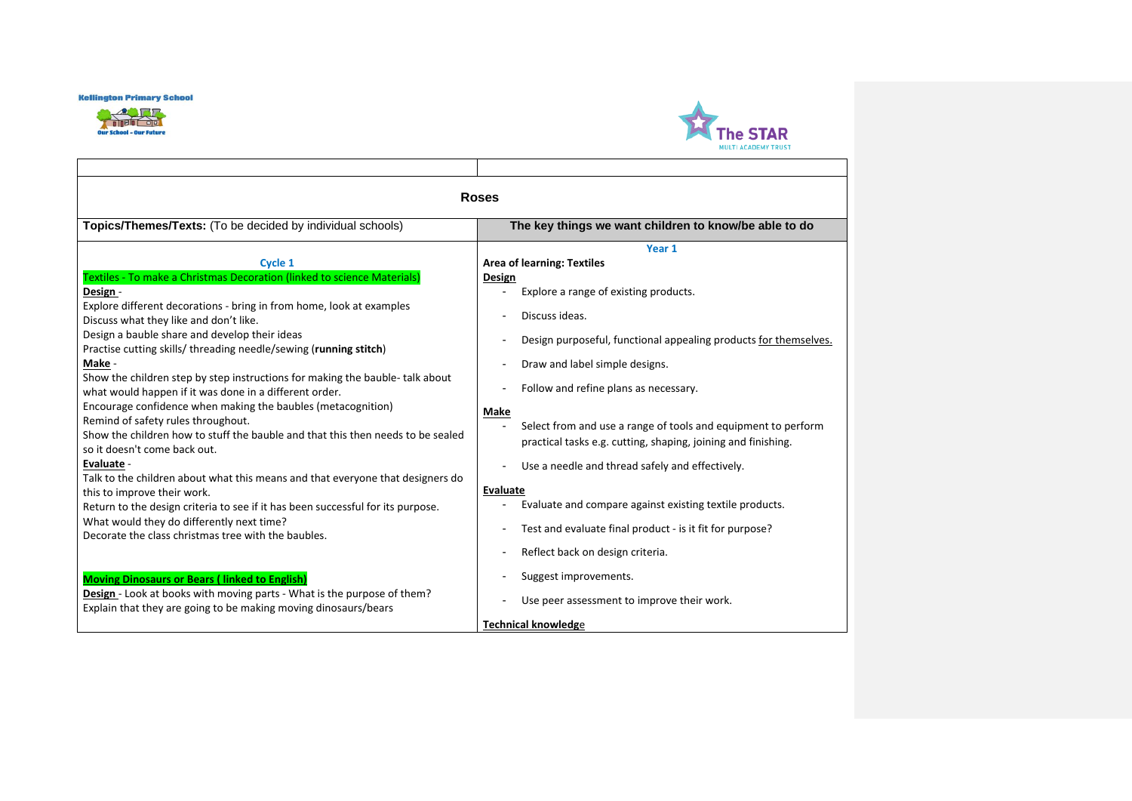



|                                                                                                                                                                                                                                                                                                                                                                                                                                                                                                                                                                                                                                                                                                                                                                                                                                                                                                                                                                                                                                            | <b>Roses</b>                                                                                                                                                                                                                                                                                                                                                                                                                                                                                                                                                                                                                                                                                                                                          |
|--------------------------------------------------------------------------------------------------------------------------------------------------------------------------------------------------------------------------------------------------------------------------------------------------------------------------------------------------------------------------------------------------------------------------------------------------------------------------------------------------------------------------------------------------------------------------------------------------------------------------------------------------------------------------------------------------------------------------------------------------------------------------------------------------------------------------------------------------------------------------------------------------------------------------------------------------------------------------------------------------------------------------------------------|-------------------------------------------------------------------------------------------------------------------------------------------------------------------------------------------------------------------------------------------------------------------------------------------------------------------------------------------------------------------------------------------------------------------------------------------------------------------------------------------------------------------------------------------------------------------------------------------------------------------------------------------------------------------------------------------------------------------------------------------------------|
| Topics/Themes/Texts: (To be decided by individual schools)                                                                                                                                                                                                                                                                                                                                                                                                                                                                                                                                                                                                                                                                                                                                                                                                                                                                                                                                                                                 | The key things we want children to know/be able to do                                                                                                                                                                                                                                                                                                                                                                                                                                                                                                                                                                                                                                                                                                 |
| Cycle 1<br>Textiles - To make a Christmas Decoration (linked to science Materials)<br>Design -<br>Explore different decorations - bring in from home, look at examples<br>Discuss what they like and don't like.<br>Design a bauble share and develop their ideas<br>Practise cutting skills/ threading needle/sewing (running stitch)<br>Make -<br>Show the children step by step instructions for making the bauble- talk about<br>what would happen if it was done in a different order.<br>Encourage confidence when making the baubles (metacognition)<br>Remind of safety rules throughout.<br>Show the children how to stuff the bauble and that this then needs to be sealed<br>so it doesn't come back out.<br>Evaluate -<br>Talk to the children about what this means and that everyone that designers do<br>this to improve their work.<br>Return to the design criteria to see if it has been successful for its purpose.<br>What would they do differently next time?<br>Decorate the class christmas tree with the baubles. | Year 1<br><b>Area of learning: Textiles</b><br>Design<br>Explore a range of existing products.<br>Discuss ideas.<br>$\blacksquare$<br>Design purposeful, functional appealing products for themselves.<br>$\overline{a}$<br>Draw and label simple designs.<br>Follow and refine plans as necessary.<br><b>Make</b><br>Select from and use a range of tools and equipment to perform<br>practical tasks e.g. cutting, shaping, joining and finishing.<br>Use a needle and thread safely and effectively.<br>$\overline{a}$<br><b>Evaluate</b><br>Evaluate and compare against existing textile products.<br>Test and evaluate final product - is it fit for purpose?<br>$\overline{a}$<br>Reflect back on design criteria.<br>$\overline{\phantom{a}}$ |
| <b>Moving Dinosaurs or Bears (linked to English)</b><br>Design - Look at books with moving parts - What is the purpose of them?<br>Explain that they are going to be making moving dinosaurs/bears                                                                                                                                                                                                                                                                                                                                                                                                                                                                                                                                                                                                                                                                                                                                                                                                                                         | Suggest improvements.<br>Use peer assessment to improve their work.<br><b>Technical knowledge</b>                                                                                                                                                                                                                                                                                                                                                                                                                                                                                                                                                                                                                                                     |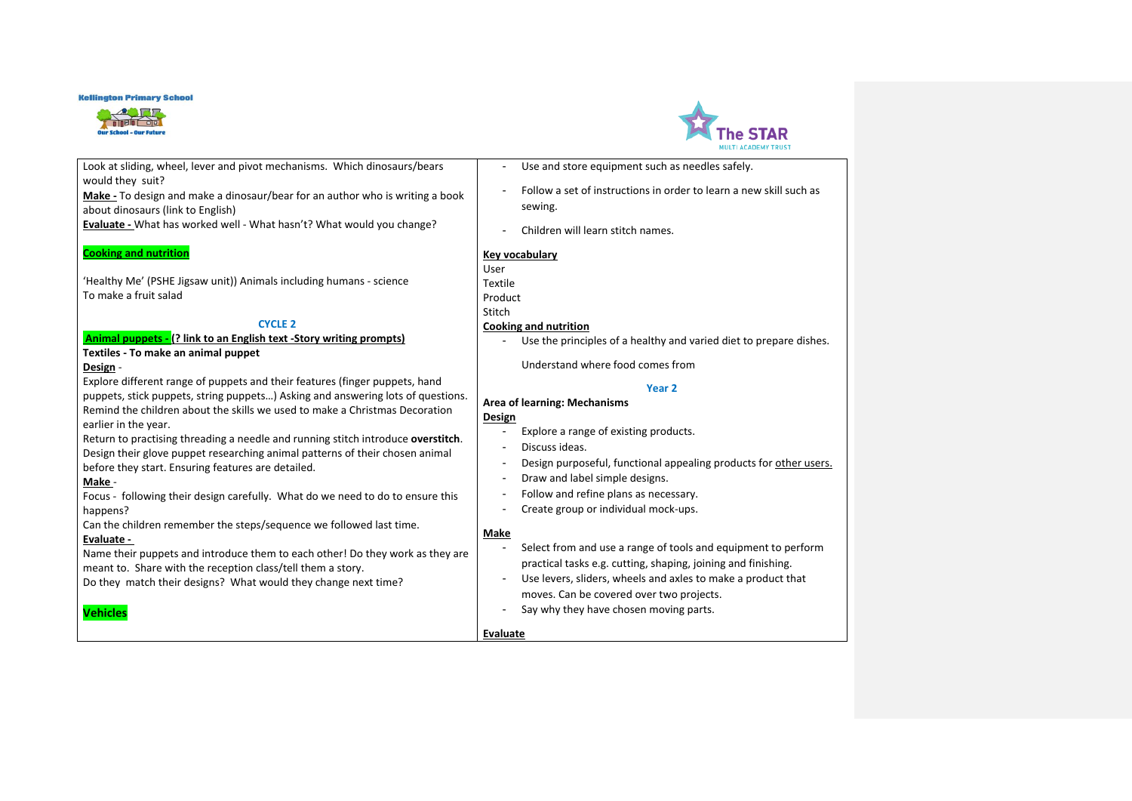



| Look at sliding, wheel, lever and pivot mechanisms. Which dinosaurs/bears        | Use and store equipment such as needles safely.                        |
|----------------------------------------------------------------------------------|------------------------------------------------------------------------|
| would they suit?                                                                 | Follow a set of instructions in order to learn a new skill such as     |
| Make - To design and make a dinosaur/bear for an author who is writing a book    |                                                                        |
| about dinosaurs (link to English)                                                | sewing.                                                                |
| Evaluate - What has worked well - What hasn't? What would you change?            |                                                                        |
|                                                                                  | Children will learn stitch names.                                      |
| <b>Cooking and nutrition</b>                                                     | <b>Key vocabulary</b>                                                  |
|                                                                                  | User                                                                   |
| 'Healthy Me' (PSHE Jigsaw unit)) Animals including humans - science              | Textile                                                                |
| To make a fruit salad                                                            |                                                                        |
|                                                                                  | Product                                                                |
|                                                                                  | Stitch                                                                 |
| <b>CYCLE 2</b>                                                                   | <b>Cooking and nutrition</b>                                           |
| Animal puppets - (? link to an English text -Story writing prompts)              | Use the principles of a healthy and varied diet to prepare dishes.     |
| Textiles - To make an animal puppet                                              |                                                                        |
| Design -                                                                         | Understand where food comes from                                       |
| Explore different range of puppets and their features (finger puppets, hand      | Year <sub>2</sub>                                                      |
| puppets, stick puppets, string puppets) Asking and answering lots of questions.  |                                                                        |
| Remind the children about the skills we used to make a Christmas Decoration      | Area of learning: Mechanisms                                           |
| earlier in the year.                                                             | Design                                                                 |
| Return to practising threading a needle and running stitch introduce overstitch. | Explore a range of existing products.<br>ä,                            |
|                                                                                  | Discuss ideas.<br>٠                                                    |
| Design their glove puppet researching animal patterns of their chosen animal     | Design purposeful, functional appealing products for other users.<br>- |
| before they start. Ensuring features are detailed.                               | Draw and label simple designs.<br>$\overline{\phantom{a}}$             |
| Make -                                                                           |                                                                        |
| Focus - following their design carefully. What do we need to do to ensure this   | Follow and refine plans as necessary.                                  |
| happens?                                                                         | Create group or individual mock-ups.<br>$\overline{\phantom{a}}$       |
| Can the children remember the steps/sequence we followed last time.              |                                                                        |
| Evaluate -                                                                       | Make                                                                   |
| Name their puppets and introduce them to each other! Do they work as they are    | Select from and use a range of tools and equipment to perform<br>٠     |
| meant to. Share with the reception class/tell them a story.                      | practical tasks e.g. cutting, shaping, joining and finishing.          |
| Do they match their designs? What would they change next time?                   | Use levers, sliders, wheels and axles to make a product that           |
|                                                                                  | moves. Can be covered over two projects.                               |
|                                                                                  |                                                                        |
| <b>Vehicles</b>                                                                  | Say why they have chosen moving parts.                                 |
|                                                                                  | Evaluate                                                               |
|                                                                                  |                                                                        |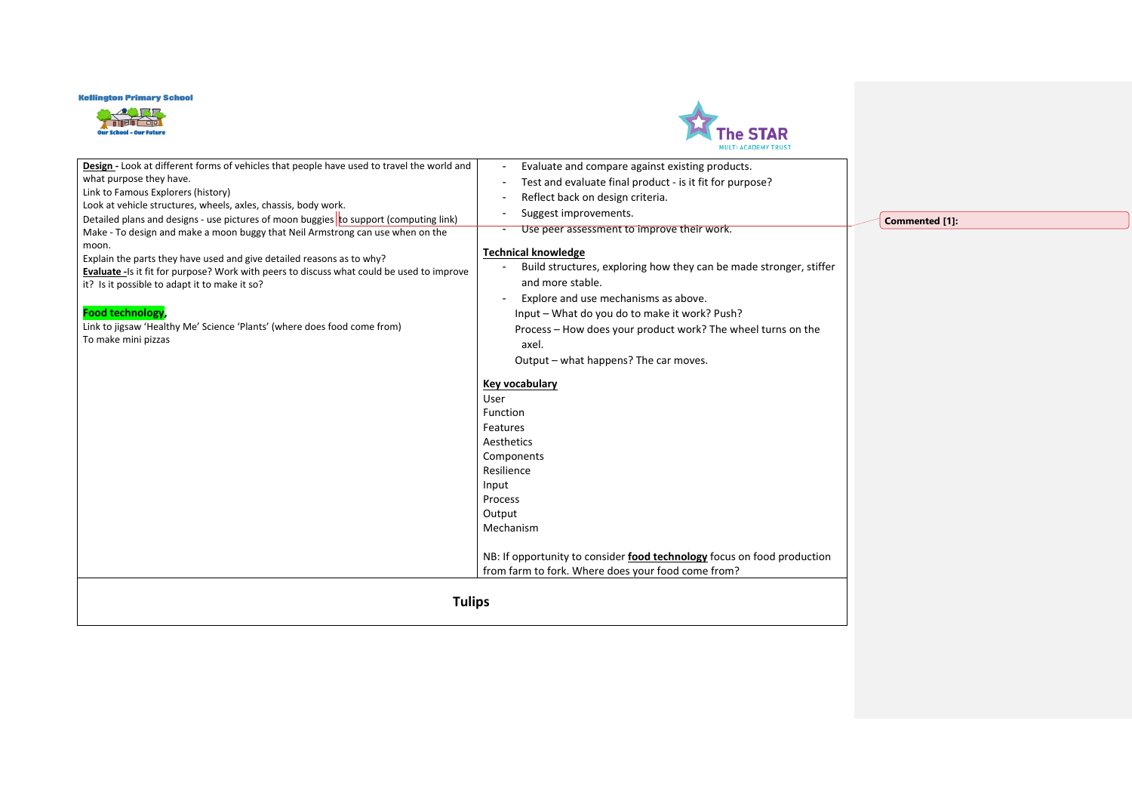



| <b>Tulips</b>                                                                                        |                                                                                                                               |
|------------------------------------------------------------------------------------------------------|-------------------------------------------------------------------------------------------------------------------------------|
|                                                                                                      | NB: If opportunity to consider food technology focus on food production<br>from farm to fork. Where does your food come from? |
|                                                                                                      | Mechanism                                                                                                                     |
|                                                                                                      | Output                                                                                                                        |
|                                                                                                      | Process                                                                                                                       |
|                                                                                                      | Input                                                                                                                         |
|                                                                                                      | Resilience                                                                                                                    |
|                                                                                                      | Components                                                                                                                    |
|                                                                                                      | Features<br>Aesthetics                                                                                                        |
|                                                                                                      | Function                                                                                                                      |
|                                                                                                      | User                                                                                                                          |
|                                                                                                      | Key vocabulary                                                                                                                |
|                                                                                                      |                                                                                                                               |
|                                                                                                      | Output - what happens? The car moves.                                                                                         |
| To make mini pizzas                                                                                  | axel.                                                                                                                         |
| Link to jigsaw 'Healthy Me' Science 'Plants' (where does food come from)                             | Process - How does your product work? The wheel turns on the                                                                  |
| Food technology,                                                                                     | Input - What do you do to make it work? Push?                                                                                 |
| it? Is it possible to adapt it to make it so?                                                        | Explore and use mechanisms as above.                                                                                          |
| Evaluate -Is it fit for purpose? Work with peers to discuss what could be used to improve            | and more stable.                                                                                                              |
| Explain the parts they have used and give detailed reasons as to why?                                | <b>Technical knowledge</b><br>Build structures, exploring how they can be made stronger, stiffer                              |
| moon.                                                                                                |                                                                                                                               |
| Make - To design and make a moon buggy that Neil Armstrong can use when on the                       | Use peer assessment to improve their work.                                                                                    |
| Detailed plans and designs - use pictures of moon buggies to support (computing link)                | Suggest improvements.                                                                                                         |
| Link to Famous Explorers (history)<br>Look at vehicle structures, wheels, axles, chassis, body work. | Reflect back on design criteria.                                                                                              |
| what purpose they have.                                                                              | Test and evaluate final product - is it fit for purpose?                                                                      |
| Design - Look at different forms of vehicles that people have used to travel the world and           | Evaluate and compare against existing products.                                                                               |

**Commented [1]:**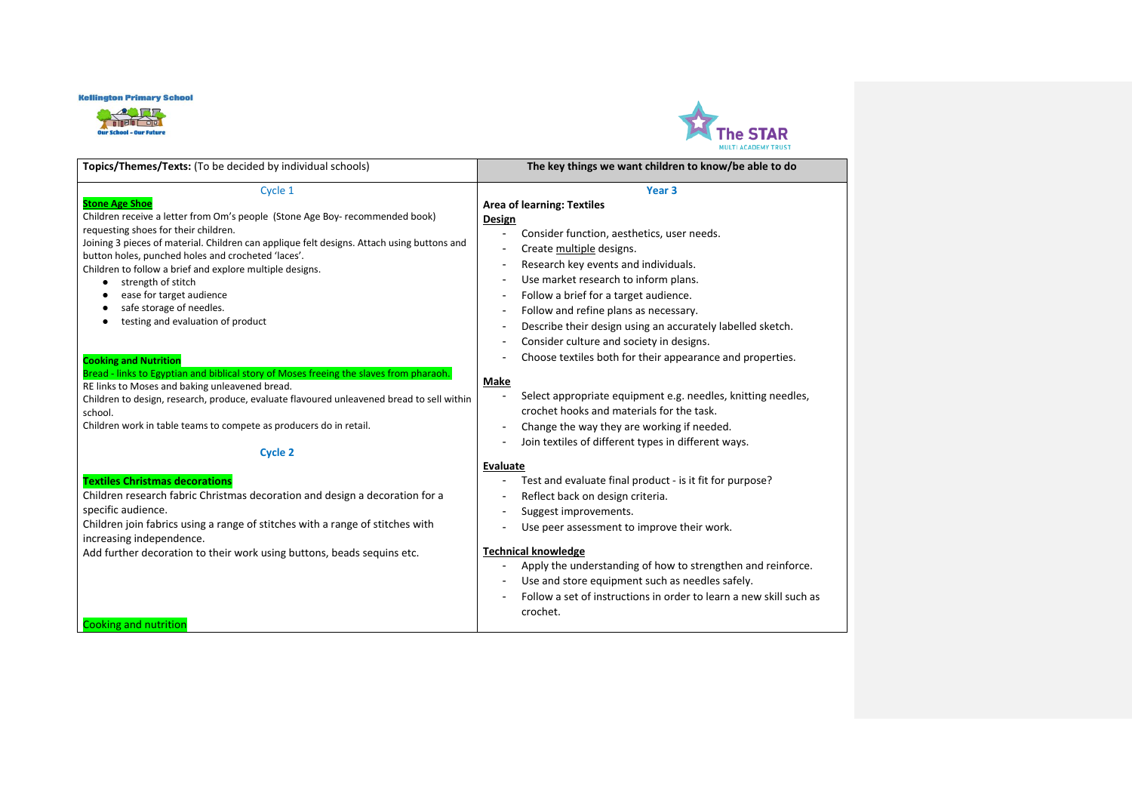



| Topics/Themes/Texts: (To be decided by individual schools)                                                                                                                                                                                                                                                                                                                                                                                                                                       | The key things we want children to know/be able to do                                                                                                                                                                                                                                                                                                                                                                                                                                      |
|--------------------------------------------------------------------------------------------------------------------------------------------------------------------------------------------------------------------------------------------------------------------------------------------------------------------------------------------------------------------------------------------------------------------------------------------------------------------------------------------------|--------------------------------------------------------------------------------------------------------------------------------------------------------------------------------------------------------------------------------------------------------------------------------------------------------------------------------------------------------------------------------------------------------------------------------------------------------------------------------------------|
| Cycle 1<br><b>Stone Age Shoe</b><br>Children receive a letter from Om's people (Stone Age Boy- recommended book)<br>requesting shoes for their children.<br>Joining 3 pieces of material. Children can applique felt designs. Attach using buttons and<br>button holes, punched holes and crocheted 'laces'.<br>Children to follow a brief and explore multiple designs.<br>strength of stitch<br>٠<br>ease for target audience<br>safe storage of needles.<br>testing and evaluation of product | Year <sub>3</sub><br><b>Area of learning: Textiles</b><br><b>Design</b><br>Consider function, aesthetics, user needs.<br>$\overline{\phantom{a}}$<br>Create multiple designs.<br>Research key events and individuals.<br>Use market research to inform plans.<br>Follow a brief for a target audience.<br>$\overline{\phantom{a}}$<br>Follow and refine plans as necessary.<br>۰<br>Describe their design using an accurately labelled sketch.<br>Consider culture and society in designs. |
| <b>Cooking and Nutrition</b><br>Bread - links to Egyptian and biblical story of Moses freeing the slaves from pharaoh.<br>RE links to Moses and baking unleavened bread.<br>Children to design, research, produce, evaluate flavoured unleavened bread to sell within<br>school.<br>Children work in table teams to compete as producers do in retail.<br><b>Cycle 2</b>                                                                                                                         | Choose textiles both for their appearance and properties.<br>Make<br>Select appropriate equipment e.g. needles, knitting needles,<br>crochet hooks and materials for the task.<br>Change the way they are working if needed.<br>Join textiles of different types in different ways.                                                                                                                                                                                                        |
| <b>Textiles Christmas decorations</b><br>Children research fabric Christmas decoration and design a decoration for a<br>specific audience.<br>Children join fabrics using a range of stitches with a range of stitches with<br>increasing independence.<br>Add further decoration to their work using buttons, beads sequins etc.<br><b>Cooking and nutrition</b>                                                                                                                                | Evaluate<br>Test and evaluate final product - is it fit for purpose?<br>Reflect back on design criteria.<br>Suggest improvements.<br>Use peer assessment to improve their work.<br><b>Technical knowledge</b><br>Apply the understanding of how to strengthen and reinforce.<br>Use and store equipment such as needles safely.<br>۰<br>Follow a set of instructions in order to learn a new skill such as<br>crochet.                                                                     |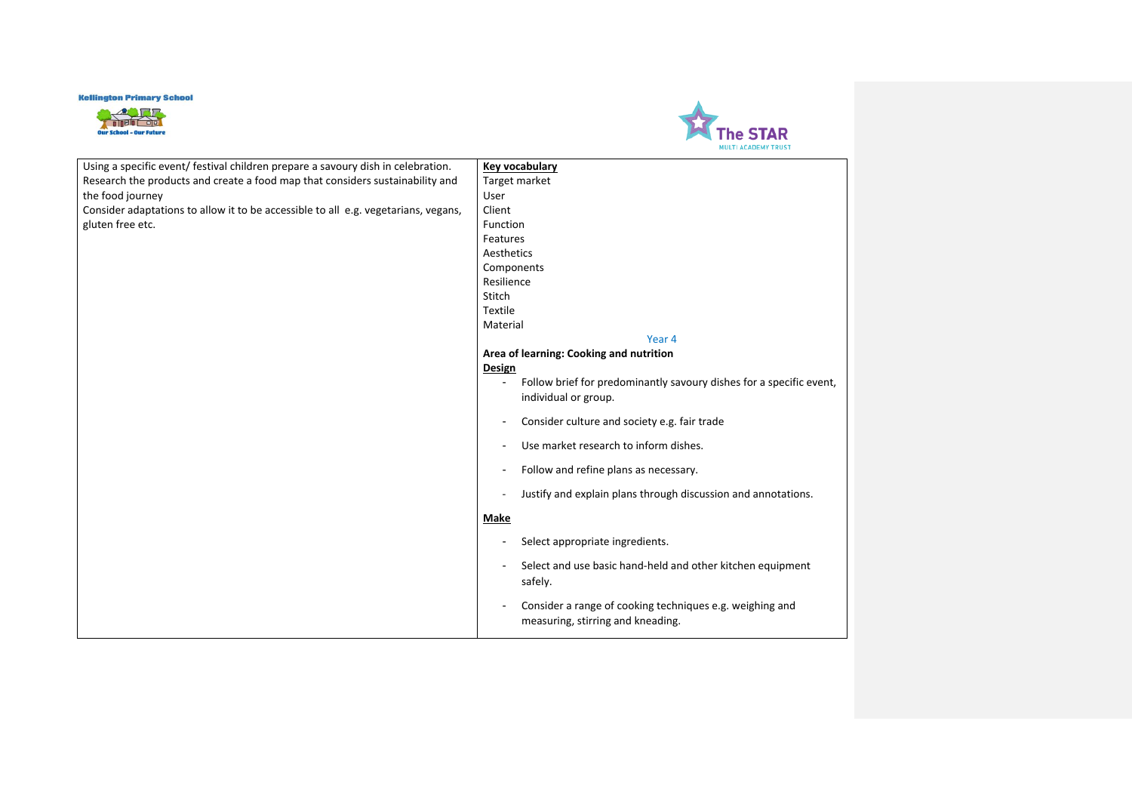



| Using a specific event/ festival children prepare a savoury dish in celebration.   | Key vocabulary                                                                                |
|------------------------------------------------------------------------------------|-----------------------------------------------------------------------------------------------|
| Research the products and create a food map that considers sustainability and      | Target market                                                                                 |
| the food journey                                                                   | User                                                                                          |
| Consider adaptations to allow it to be accessible to all e.g. vegetarians, vegans, | Client                                                                                        |
| gluten free etc.                                                                   | Function                                                                                      |
|                                                                                    | Features                                                                                      |
|                                                                                    | Aesthetics                                                                                    |
|                                                                                    | Components                                                                                    |
|                                                                                    | Resilience                                                                                    |
|                                                                                    | Stitch                                                                                        |
|                                                                                    | Textile                                                                                       |
|                                                                                    | Material                                                                                      |
|                                                                                    | Year 4                                                                                        |
|                                                                                    | Area of learning: Cooking and nutrition                                                       |
|                                                                                    | Design                                                                                        |
|                                                                                    | Follow brief for predominantly savoury dishes for a specific event,                           |
|                                                                                    | individual or group.                                                                          |
|                                                                                    | Consider culture and society e.g. fair trade                                                  |
|                                                                                    | Use market research to inform dishes.<br>-                                                    |
|                                                                                    | Follow and refine plans as necessary.<br>۰                                                    |
|                                                                                    | Justify and explain plans through discussion and annotations.<br>$\overline{\phantom{a}}$     |
|                                                                                    | <b>Make</b>                                                                                   |
|                                                                                    | Select appropriate ingredients.<br>۰                                                          |
|                                                                                    | Select and use basic hand-held and other kitchen equipment<br>safely.                         |
|                                                                                    | Consider a range of cooking techniques e.g. weighing and<br>measuring, stirring and kneading. |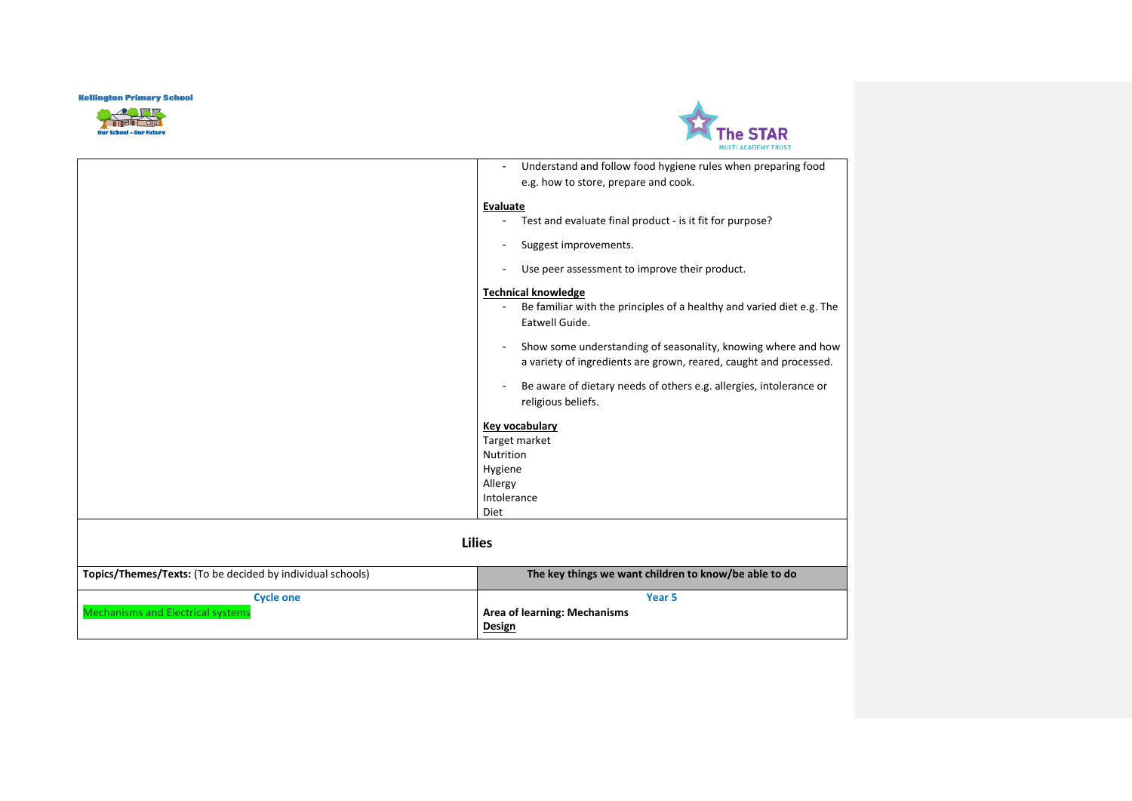



| Mechanisms and Electrical systems                          | <b>Area of learning: Mechanisms</b><br>Design                                                                                      |
|------------------------------------------------------------|------------------------------------------------------------------------------------------------------------------------------------|
| <b>Cycle one</b>                                           | Year <sub>5</sub>                                                                                                                  |
| Topics/Themes/Texts: (To be decided by individual schools) | The key things we want children to know/be able to do                                                                              |
|                                                            | <b>Lilies</b>                                                                                                                      |
|                                                            | <b>Diet</b>                                                                                                                        |
|                                                            | Intolerance                                                                                                                        |
|                                                            | Allergy                                                                                                                            |
|                                                            | Hygiene                                                                                                                            |
|                                                            | Nutrition                                                                                                                          |
|                                                            | Target market                                                                                                                      |
|                                                            | <b>Key vocabulary</b>                                                                                                              |
|                                                            | religious beliefs.                                                                                                                 |
|                                                            | Be aware of dietary needs of others e.g. allergies, intolerance or                                                                 |
|                                                            |                                                                                                                                    |
|                                                            | Show some understanding of seasonality, knowing where and how<br>a variety of ingredients are grown, reared, caught and processed. |
|                                                            |                                                                                                                                    |
|                                                            | Eatwell Guide.                                                                                                                     |
|                                                            | <b>Technical knowledge</b><br>Be familiar with the principles of a healthy and varied diet e.g. The                                |
|                                                            |                                                                                                                                    |
|                                                            | Use peer assessment to improve their product.                                                                                      |
|                                                            | Suggest improvements.                                                                                                              |
|                                                            | Test and evaluate final product - is it fit for purpose?                                                                           |
|                                                            | <b>Evaluate</b>                                                                                                                    |
|                                                            | e.g. how to store, prepare and cook.                                                                                               |
|                                                            | Understand and follow food hygiene rules when preparing food                                                                       |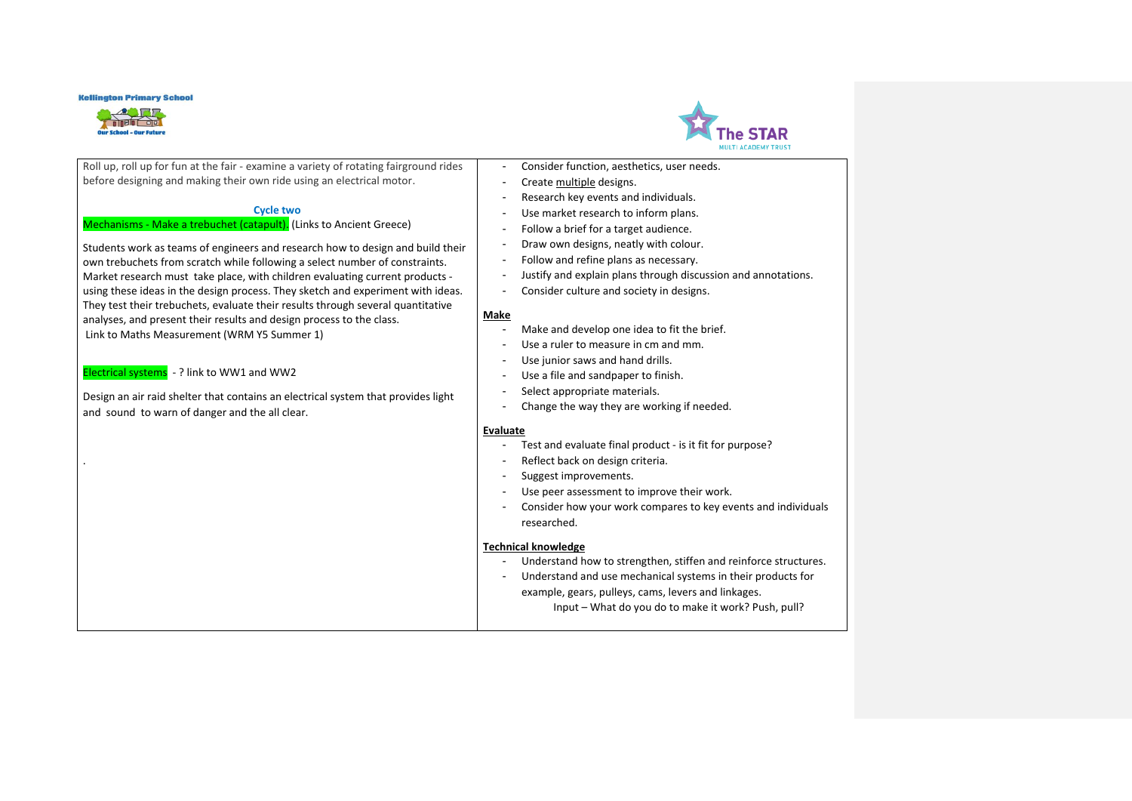



| Roll up, roll up for fun at the fair - examine a variety of rotating fairground rides | Consider function, aesthetics, user needs.                      |
|---------------------------------------------------------------------------------------|-----------------------------------------------------------------|
| before designing and making their own ride using an electrical motor.                 | Create multiple designs.                                        |
|                                                                                       | Research key events and individuals.                            |
| <b>Cycle two</b>                                                                      | Use market research to inform plans.                            |
| Mechanisms - Make a trebuchet (catapult). (Links to Ancient Greece)                   | Follow a brief for a target audience.                           |
| Students work as teams of engineers and research how to design and build their        | Draw own designs, neatly with colour.                           |
| own trebuchets from scratch while following a select number of constraints.           | Follow and refine plans as necessary.                           |
| Market research must take place, with children evaluating current products -          | Justify and explain plans through discussion and annotations.   |
| using these ideas in the design process. They sketch and experiment with ideas.       | Consider culture and society in designs.                        |
| They test their trebuchets, evaluate their results through several quantitative       |                                                                 |
| analyses, and present their results and design process to the class.                  | Make                                                            |
| Link to Maths Measurement (WRM Y5 Summer 1)                                           | Make and develop one idea to fit the brief.                     |
|                                                                                       | Use a ruler to measure in cm and mm.                            |
| Electrical systems - ? link to WW1 and WW2                                            | Use junior saws and hand drills.                                |
|                                                                                       | Use a file and sandpaper to finish.                             |
| Design an air raid shelter that contains an electrical system that provides light     | Select appropriate materials.                                   |
| and sound to warn of danger and the all clear.                                        | Change the way they are working if needed.                      |
|                                                                                       | <b>Evaluate</b>                                                 |
|                                                                                       | Test and evaluate final product - is it fit for purpose?        |
|                                                                                       | Reflect back on design criteria.                                |
|                                                                                       | Suggest improvements.                                           |
|                                                                                       | Use peer assessment to improve their work.                      |
|                                                                                       | Consider how your work compares to key events and individuals   |
|                                                                                       | researched.                                                     |
|                                                                                       |                                                                 |
|                                                                                       | <b>Technical knowledge</b>                                      |
|                                                                                       | Understand how to strengthen, stiffen and reinforce structures. |
|                                                                                       | Understand and use mechanical systems in their products for     |
|                                                                                       | example, gears, pulleys, cams, levers and linkages.             |
|                                                                                       | Input - What do you do to make it work? Push, pull?             |
|                                                                                       |                                                                 |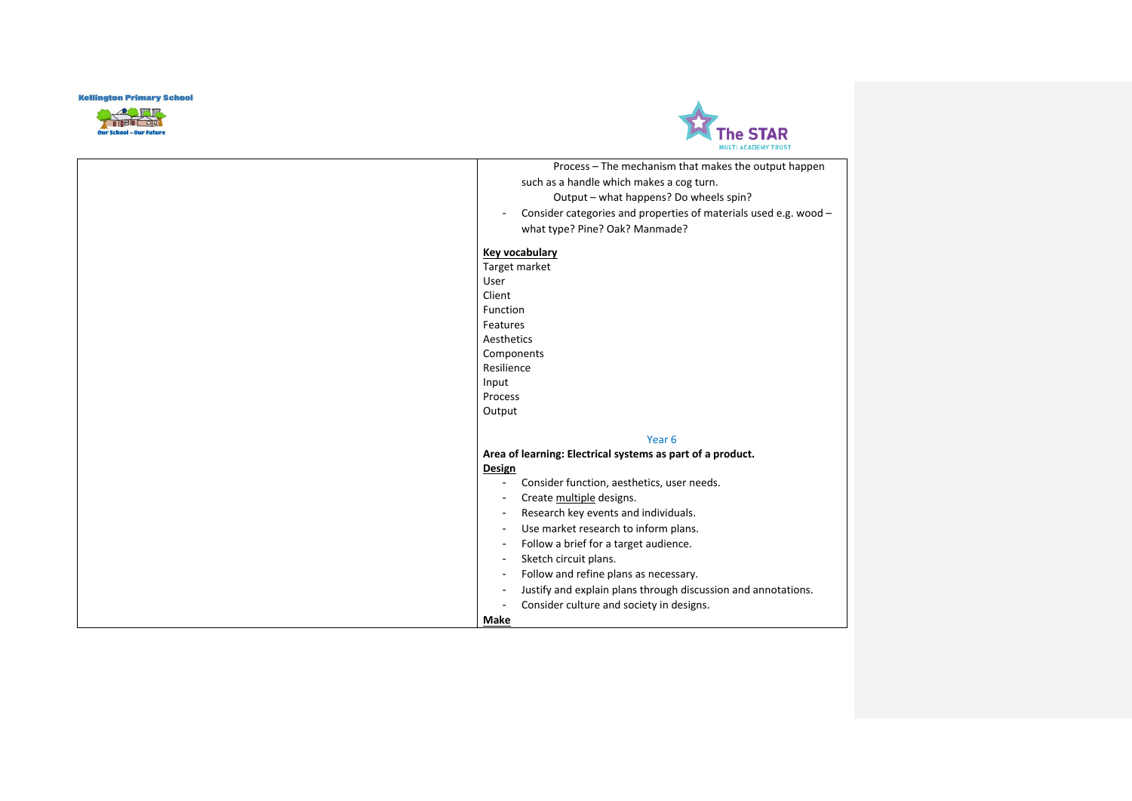



| <b>MULTI ACADEMY TRUST</b>                                       |  |
|------------------------------------------------------------------|--|
| Process - The mechanism that makes the output happen             |  |
| such as a handle which makes a cog turn.                         |  |
| Output - what happens? Do wheels spin?                           |  |
| Consider categories and properties of materials used e.g. wood - |  |
| what type? Pine? Oak? Manmade?                                   |  |
| <b>Key vocabulary</b>                                            |  |
| Target market                                                    |  |
|                                                                  |  |
|                                                                  |  |
| Function                                                         |  |
| Features                                                         |  |
| Aesthetics                                                       |  |
| Components                                                       |  |
| Resilience                                                       |  |
|                                                                  |  |
| Process                                                          |  |
| Output                                                           |  |
| Year <sub>6</sub>                                                |  |
| Area of learning: Electrical systems as part of a product.       |  |
| Design                                                           |  |
| Consider function, aesthetics, user needs.                       |  |
| Create multiple designs.                                         |  |
| Research key events and individuals.                             |  |
| Use market research to inform plans.                             |  |
| Follow a brief for a target audience.                            |  |
|                                                                  |  |
| Sketch circuit plans.                                            |  |
| Follow and refine plans as necessary.                            |  |
| Justify and explain plans through discussion and annotations.    |  |
|                                                                  |  |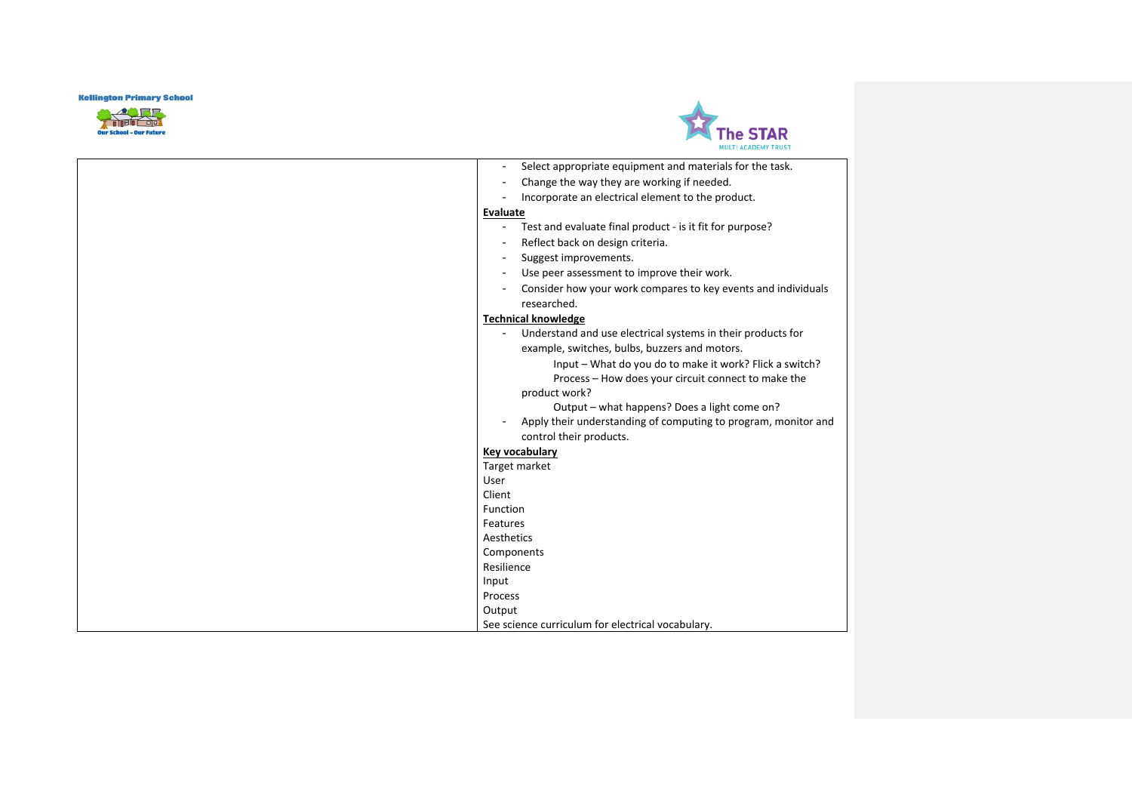



|                          | Select appropriate equipment and materials for the task.       |
|--------------------------|----------------------------------------------------------------|
| ٠                        | Change the way they are working if needed.                     |
|                          | Incorporate an electrical element to the product.              |
| Evaluate                 |                                                                |
| $\overline{a}$           | Test and evaluate final product - is it fit for purpose?       |
| $\overline{\phantom{a}}$ | Reflect back on design criteria.                               |
| $\overline{\phantom{a}}$ | Suggest improvements.                                          |
|                          | Use peer assessment to improve their work.                     |
|                          | Consider how your work compares to key events and individuals  |
|                          | researched.                                                    |
|                          | <b>Technical knowledge</b>                                     |
|                          | Understand and use electrical systems in their products for    |
|                          | example, switches, bulbs, buzzers and motors.                  |
|                          | Input - What do you do to make it work? Flick a switch?        |
|                          | Process - How does your circuit connect to make the            |
|                          | product work?                                                  |
|                          | Output - what happens? Does a light come on?                   |
| $\overline{\phantom{a}}$ | Apply their understanding of computing to program, monitor and |
|                          | control their products.                                        |
|                          | Key vocabulary                                                 |
|                          | Target market                                                  |
| User                     |                                                                |
| Client                   |                                                                |
| Function                 |                                                                |
| Features                 |                                                                |
| Aesthetics               |                                                                |
|                          | Components                                                     |
| Resilience               |                                                                |
| Input                    |                                                                |
| Process                  |                                                                |
| Output                   |                                                                |
|                          | See science curriculum for electrical vocabulary.              |